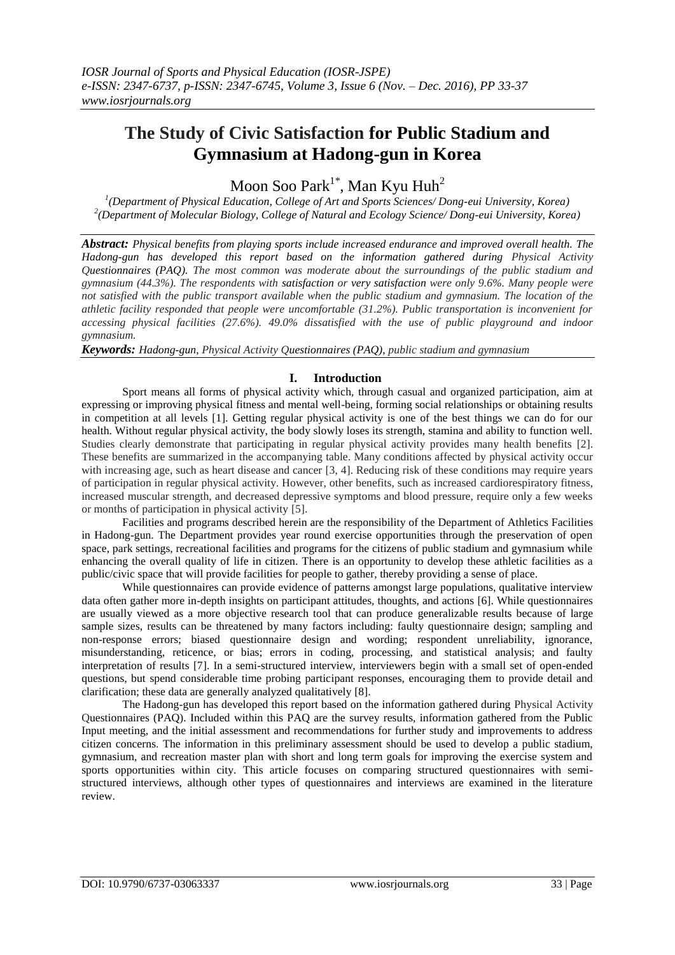# **The Study of Civic Satisfaction for Public Stadium and Gymnasium at Hadong-gun in Korea**

Moon Soo Park $^{1^\ast}$ , Man Kyu Huh $^2$ 

*1 (Department of Physical Education, College of Art and Sports Sciences/ Dong-eui University, Korea) 2 (Department of Molecular Biology, College of Natural and Ecology Science/ Dong-eui University, Korea)*

*Abstract: Physical benefits from playing sports include increased endurance and improved overall health. The Hadong-gun has developed this report based on the information gathered during Physical Activity Questionnaires (PAQ). The most common was moderate about the surroundings of the public stadium and gymnasium (44.3%). The respondents with satisfaction or very satisfaction were only 9.6%. Many people were not satisfied with the public transport available when the public stadium and gymnasium. The location of the athletic facility responded that people were uncomfortable (31.2%). Public transportation is inconvenient for accessing physical facilities (27.6%). 49.0% dissatisfied with the use of public playground and indoor gymnasium.*

*Keywords: Hadong-gun, Physical Activity Questionnaires (PAQ), public stadium and gymnasium*

## **I. Introduction**

Sport means all forms of physical activity which, through casual and organized participation, aim at expressing or improving physical fitness and mental well-being, forming social relationships or obtaining results in competition at all levels [1]. Getting regular physical activity is one of the best things we can do for our health. Without regular physical activity, the body slowly loses its strength, stamina and ability to function well. Studies clearly demonstrate that participating in regular physical activity provides many health benefits [2]. These benefits are summarized in the accompanying table. Many conditions affected by physical activity occur with increasing age, such as heart disease and cancer [3, 4]. Reducing risk of these conditions may require years of participation in regular physical activity. However, other benefits, such as increased cardiorespiratory fitness, increased muscular strength, and decreased depressive symptoms and blood pressure, require only a few weeks or months of participation in physical activity [5].

Facilities and programs described herein are the responsibility of the Department of Athletics Facilities in Hadong-gun. The Department provides year round exercise opportunities through the preservation of open space, park settings, recreational facilities and programs for the citizens of public stadium and gymnasium while enhancing the overall quality of life in citizen. There is an opportunity to develop these athletic facilities as a public/civic space that will provide facilities for people to gather, thereby providing a sense of place.

While questionnaires can provide evidence of patterns amongst large populations, qualitative interview data often gather more in-depth insights on participant attitudes, thoughts, and actions [6]. While questionnaires are usually viewed as a more objective research tool that can produce generalizable results because of large sample sizes, results can be threatened by many factors including: faulty questionnaire design; sampling and non-response errors; biased questionnaire design and wording; respondent unreliability, ignorance, misunderstanding, reticence, or bias; errors in coding, processing, and statistical analysis; and faulty interpretation of results [7]. In a semi-structured interview, interviewers begin with a small set of open-ended questions, but spend considerable time probing participant responses, encouraging them to provide detail and clarification; these data are generally analyzed qualitatively [8].

The Hadong-gun has developed this report based on the information gathered during Physical Activity Questionnaires (PAQ). Included within this PAQ are the survey results, information gathered from the Public Input meeting, and the initial assessment and recommendations for further study and improvements to address citizen concerns. The information in this preliminary assessment should be used to develop a public stadium, gymnasium, and recreation master plan with short and long term goals for improving the exercise system and sports opportunities within city. This article focuses on comparing structured questionnaires with semistructured interviews, although other types of questionnaires and interviews are examined in the literature review.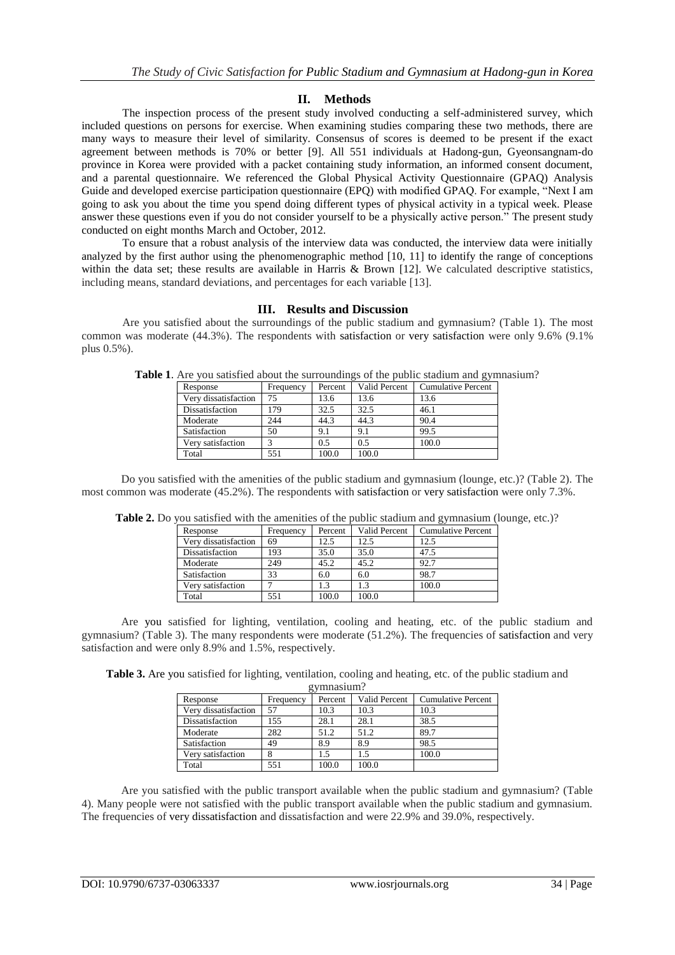# **II. Methods**

The inspection process of the present study involved conducting a self-administered survey, which included questions on persons for exercise. When examining studies comparing these two methods, there are many ways to measure their level of similarity. Consensus of scores is deemed to be present if the exact agreement between methods is 70% or better [9]. All 551 individuals at Hadong-gun, Gyeonsangnam-do province in Korea were provided with a packet containing study information, an informed consent document, and a parental questionnaire. We referenced the Global Physical Activity Questionnaire (GPAQ) Analysis Guide and developed exercise participation questionnaire (EPQ) with modified GPAQ. For example, "Next I am going to ask you about the time you spend doing different types of physical activity in a typical week. Please answer these questions even if you do not consider yourself to be a physically active person." The present study conducted on eight months March and October, 2012.

To ensure that a robust analysis of the interview data was conducted, the interview data were initially analyzed by the first author using the phenomenographic method [10, 11] to identify the range of conceptions within the data set; these results are available in Harris & Brown [12]. We calculated descriptive statistics, including means, standard deviations, and percentages for each variable [13].

## **III. Results and Discussion**

Are you satisfied about the surroundings of the public stadium and gymnasium? (Table 1). The most common was moderate (44.3%). The respondents with satisfaction or very satisfaction were only 9.6% (9.1% plus 0.5%).

|                      |           |         |               | ັ                         |
|----------------------|-----------|---------|---------------|---------------------------|
| Response             | Frequency | Percent | Valid Percent | <b>Cumulative Percent</b> |
| Very dissatisfaction | 75        | 13.6    | 13.6          | 13.6                      |
| Dissatisfaction      | 179       | 32.5    | 32.5          | 46.1                      |
| Moderate             | 244       | 44.3    | 44.3          | 90.4                      |
| Satisfaction         | 50        | 9.1     | 9.1           | 99.5                      |
| Very satisfaction    | 3         | 0.5     | 0.5           | 100.0                     |
| Total                | 551       | 100.0   | 100.0         |                           |
|                      |           |         |               |                           |

**Table 1**. Are you satisfied about the surroundings of the public stadium and gymnasium?

Do you satisfied with the amenities of the public stadium and gymnasium (lounge, etc.)? (Table 2). The most common was moderate (45.2%). The respondents with satisfaction or very satisfaction were only 7.3%.

|                      |           |         | $P^{max}$            |                           |
|----------------------|-----------|---------|----------------------|---------------------------|
| Response             | Frequency | Percent | <b>Valid Percent</b> | <b>Cumulative Percent</b> |
| Very dissatisfaction | 69        | 12.5    | 12.5                 | 12.5                      |
| Dissatisfaction      | 193       | 35.0    | 35.0                 | 47.5                      |
| Moderate             | 249       | 45.2    | 45.2                 | 92.7                      |
| Satisfaction         | 33        | 6.0     | 6.0                  | 98.7                      |
| Very satisfaction    |           | 1.3     | 1.3                  | 100.0                     |
| Total                | 551       | 100.0   | 100.0                |                           |

**Table 2.** Do you satisfied with the amenities of the public stadium and gymnasium (lounge, etc.)?

Are you satisfied for lighting, ventilation, cooling and heating, etc. of the public stadium and gymnasium? (Table 3). The many respondents were moderate (51.2%). The frequencies of satisfaction and very satisfaction and were only 8.9% and 1.5%, respectively.

**Table 3.** Are you satisfied for lighting, ventilation, cooling and heating, etc. of the public stadium and gymnasium?

| g упшабійні:         |           |         |                      |                           |  |  |
|----------------------|-----------|---------|----------------------|---------------------------|--|--|
| Response             | Frequency | Percent | <b>Valid Percent</b> | <b>Cumulative Percent</b> |  |  |
| Very dissatisfaction | 57        | 10.3    | 10.3                 | 10.3                      |  |  |
| Dissatisfaction      | 155       | 28.1    | 28.1                 | 38.5                      |  |  |
| Moderate             | 282       | 51.2    | 51.2                 | 89.7                      |  |  |
| Satisfaction         | 49        | 8.9     | 8.9                  | 98.5                      |  |  |
| Very satisfaction    |           | 1.5     | 1.5                  | 100.0                     |  |  |
| Total                | 551       | 100.0   | 100.0                |                           |  |  |
|                      |           |         |                      |                           |  |  |

Are you satisfied with the public transport available when the public stadium and gymnasium? (Table 4). Many people were not satisfied with the public transport available when the public stadium and gymnasium. The frequencies of very dissatisfaction and dissatisfaction and were 22.9% and 39.0%, respectively.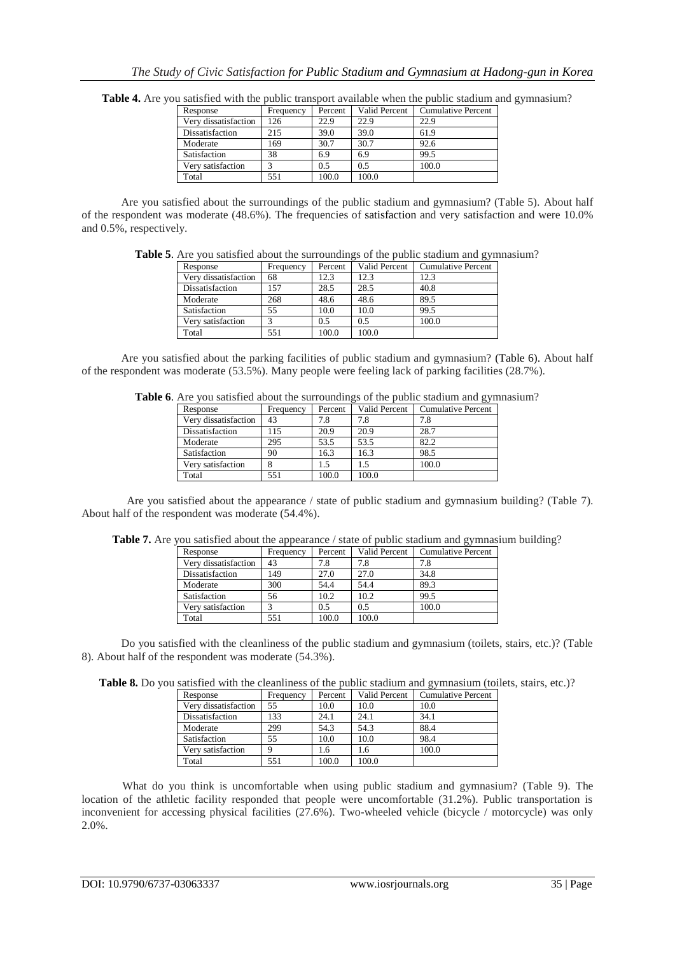| Response             | Frequency | Percent | Valid Percent | <b>Cumulative Percent</b> |
|----------------------|-----------|---------|---------------|---------------------------|
| Verv dissatisfaction | 126       | 22.9    | 22.9          | 22.9                      |
| Dissatisfaction      | 215       | 39.0    | 39.0          | 61.9                      |
| Moderate             | 169       | 30.7    | 30.7          | 92.6                      |
| Satisfaction         | 38        | 6.9     | 6.9           | 99.5                      |
| Verv satisfaction    |           | 0.5     | 0.5           | 100.0                     |
| Total                | 551       | 100.0   | 100.0         |                           |

**Table 4.** Are you satisfied with the public transport available when the public stadium and gymnasium?

Are you satisfied about the surroundings of the public stadium and gymnasium? (Table 5). About half of the respondent was moderate (48.6%). The frequencies of satisfaction and very satisfaction and were 10.0% and 0.5%, respectively.

**Table 5**. Are you satisfied about the surroundings of the public stadium and gymnasium?

| Response             | Frequency | Percent | <b>Valid Percent</b> | <b>Cumulative Percent</b> |
|----------------------|-----------|---------|----------------------|---------------------------|
| Very dissatisfaction | 68        | 12.3    | 12.3                 | 12.3                      |
| Dissatisfaction      | 157       | 28.5    | 28.5                 | 40.8                      |
| Moderate             | 268       | 48.6    | 48.6                 | 89.5                      |
| Satisfaction         | 55        | 10.0    | 10.0                 | 99.5                      |
| Verv satisfaction    |           | 0.5     | 0.5                  | 100.0                     |
| Total                | 551       | 100.0   | 100.0                |                           |

Are you satisfied about the parking facilities of public stadium and gymnasium? (Table 6). About half of the respondent was moderate (53.5%). Many people were feeling lack of parking facilities (28.7%).

| Table 6. Are you satisfied about the surroundings of the public stadium and gymnasium? |  |  |
|----------------------------------------------------------------------------------------|--|--|
|----------------------------------------------------------------------------------------|--|--|

|                      |           |         |                      | ັ                         |
|----------------------|-----------|---------|----------------------|---------------------------|
| Response             | Frequency | Percent | <b>Valid Percent</b> | <b>Cumulative Percent</b> |
| Very dissatisfaction | 43        | 7.8     | 7.8                  | 7.8                       |
| Dissatisfaction      | 115       | 20.9    | 20.9                 | 28.7                      |
| Moderate             | 295       | 53.5    | 53.5                 | 82.2                      |
| Satisfaction         | 90        | 16.3    | 16.3                 | 98.5                      |
| Very satisfaction    |           | 1.5     | 1.5                  | 100.0                     |
| Total                | 551       | 100.0   | 100.0                |                           |
|                      |           |         |                      |                           |

Are you satisfied about the appearance / state of public stadium and gymnasium building? (Table 7). About half of the respondent was moderate (54.4%).

| Response             | Frequency | Percent | Valid Percent | <b>Cumulative Percent</b> |  |  |
|----------------------|-----------|---------|---------------|---------------------------|--|--|
| Very dissatisfaction | 43        | 7.8     | 7.8           | 7.8                       |  |  |
| Dissatisfaction      | 149       | 27.0    | 27.0          | 34.8                      |  |  |
| Moderate             | 300       | 54.4    | 54.4          | 89.3                      |  |  |
| Satisfaction         | 56        | 10.2    | 10.2          | 99.5                      |  |  |
| Verv satisfaction    |           | 0.5     | 0.5           | 100.0                     |  |  |
| Total                | 551       | 100.0   | 100.0         |                           |  |  |

Table 7. Are you satisfied about the appearance / state of public stadium and gymnasium building?

Do you satisfied with the cleanliness of the public stadium and gymnasium (toilets, stairs, etc.)? (Table 8). About half of the respondent was moderate (54.3%).

| Response             | Frequency | Percent | Valid Percent | <b>Cumulative Percent</b> |
|----------------------|-----------|---------|---------------|---------------------------|
| Very dissatisfaction | 55        | 10.0    | 10.0          | 10.0                      |
| Dissatisfaction      | 133       | 24.1    | 24.1          | 34.1                      |
| Moderate             | 299       | 54.3    | 54.3          | 88.4                      |
| Satisfaction         | 55        | 10.0    | 10.0          | 98.4                      |
| Very satisfaction    |           | 1.6     | 1.6           | 100.0                     |
| Total                | 551       | 100.0   | 100.0         |                           |

What do you think is uncomfortable when using public stadium and gymnasium? (Table 9). The location of the athletic facility responded that people were uncomfortable (31.2%). Public transportation is inconvenient for accessing physical facilities (27.6%). Two-wheeled vehicle (bicycle / motorcycle) was only 2.0%.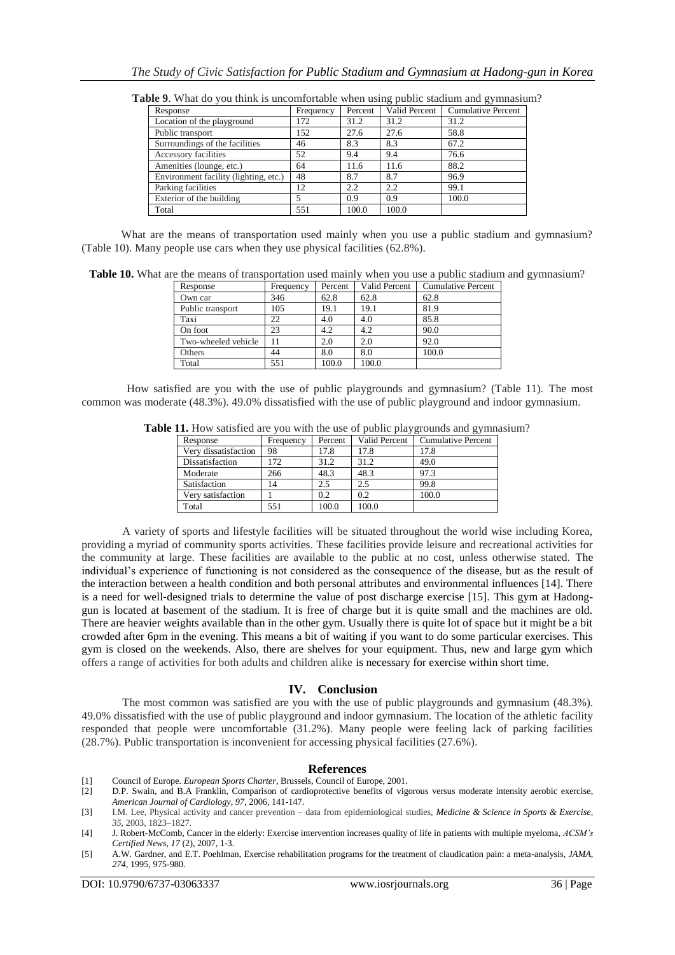| Frequency | Percent | Valid Percent | <b>Cumulative Percent</b> |
|-----------|---------|---------------|---------------------------|
| 172       | 31.2    | 31.2          | 31.2                      |
| 152       | 27.6    | 27.6          | 58.8                      |
| 46        | 8.3     | 8.3           | 67.2                      |
| 52        | 9.4     | 9.4           | 76.6                      |
| 64        | 11.6    | 11.6          | 88.2                      |
| 48        | 8.7     | 8.7           | 96.9                      |
| 12        | 2.2     | 2.2           | 99.1                      |
|           | 0.9     | 0.9           | 100.0                     |
| 551       | 100.0   | 100.0         |                           |
|           |         |               |                           |

**Table 9**. What do you think is uncomfortable when using public stadium and gymnasium?

What are the means of transportation used mainly when you use a public stadium and gymnasium? (Table 10). Many people use cars when they use physical facilities (62.8%).

**Table 10.** What are the means of transportation used mainly when you use a public stadium and gymnasium?

| Response            | Frequency | Percent |       | Valid Percent   Cumulative Percent |
|---------------------|-----------|---------|-------|------------------------------------|
| Own car             | 346       | 62.8    | 62.8  | 62.8                               |
| Public transport    | 105       | 19.1    | 19.1  | 81.9                               |
| Taxi                | 22        | 4.0     | 4.0   | 85.8                               |
| On foot             | 23        | 4.2     | 4.2   | 90.0                               |
| Two-wheeled vehicle |           | 2.0     | 2.0   | 92.0                               |
| Others              | 44        | 8.0     | 8.0   | 100.0                              |
| Total               | 551       | 100.0   | 100.0 |                                    |

How satisfied are you with the use of public playgrounds and gymnasium? (Table 11). The most common was moderate (48.3%). 49.0% dissatisfied with the use of public playground and indoor gymnasium.

| 11. Trow satisfied are you with the use of public playgrounds and gymni |           |         |               |                           |
|-------------------------------------------------------------------------|-----------|---------|---------------|---------------------------|
| Response                                                                | Frequency | Percent | Valid Percent | <b>Cumulative Percent</b> |
| Very dissatisfaction                                                    | 98        | 17.8    | 17.8          | 17.8                      |
| Dissatisfaction                                                         | 172       | 31.2    | 31.2          | 49.0                      |
| Moderate                                                                | 266       | 48.3    | 48.3          | 97.3                      |
| Satisfaction                                                            | 14        | 2.5     | 2.5           | 99.8                      |
| Very satisfaction                                                       |           | 0.2     | 0.2           | 100.0                     |
| Total                                                                   | 551       | 100.0   | 100.0         |                           |

**Table 11.** How satisfied are you with the use of public playgrounds and gymnasium?

A variety of sports and lifestyle facilities will be situated throughout the world wise including Korea, providing a myriad of community sports activities. These facilities provide leisure and recreational activities for the community at large. These facilities are available to the public at no cost, unless otherwise stated. The individual's experience of functioning is not considered as the consequence of the disease, but as the result of the interaction between a health condition and both personal attributes and environmental influences [14]. There is a need for well-designed trials to determine the value of post discharge exercise [15]. This gym at Hadonggun is located at basement of the stadium. It is free of charge but it is quite small and the machines are old. There are heavier weights available than in the other gym. Usually there is quite lot of space but it might be a bit crowded after 6pm in the evening. This means a bit of waiting if you want to do some particular exercises. This gym is closed on the weekends. Also, there are shelves for your equipment. Thus, new and large gym which offers a range of activities for both adults and children alike is necessary for exercise within short time.

### **IV. Conclusion**

The most common was satisfied are you with the use of public playgrounds and gymnasium (48.3%). 49.0% dissatisfied with the use of public playground and indoor gymnasium. The location of the athletic facility responded that people were uncomfortable (31.2%). Many people were feeling lack of parking facilities (28.7%). Public transportation is inconvenient for accessing physical facilities (27.6%).

### **References**

[1] Council of Europe. *European Sports Charter*, Brussels, Council of Europe, 2001.

<sup>[2]</sup> D.P. Swain, and B.A Franklin, Comparison of cardioprotective benefits of vigorous versus moderate intensity aerobic exercise, *American Journal of Cardiology, 97*, 2006, 141-147.

<sup>[3]</sup> I.M. Lee, Physical activity and cancer prevention – data from epidemiological studies, *[Medicine & Science in Sports & Exercise,](http://www.acsm.org/public-information/acsm-journals/medicine-science-in-sports-exercise) 35,* 2003, 1823–1827.

<sup>[4]</sup> J. Robert-McComb, Cancer in the elderly: Exercise intervention increases quality of life in patients with multiple myeloma, *ACSM's Certified News, 17* (2), 2007, 1-3.

<sup>[5]</sup> A.W. Gardner, and E.T. Poehlman, Exercise rehabilitation programs for the treatment of claudication pain: a meta-analysis, *JAMA, 274*, 1995, 975-980.